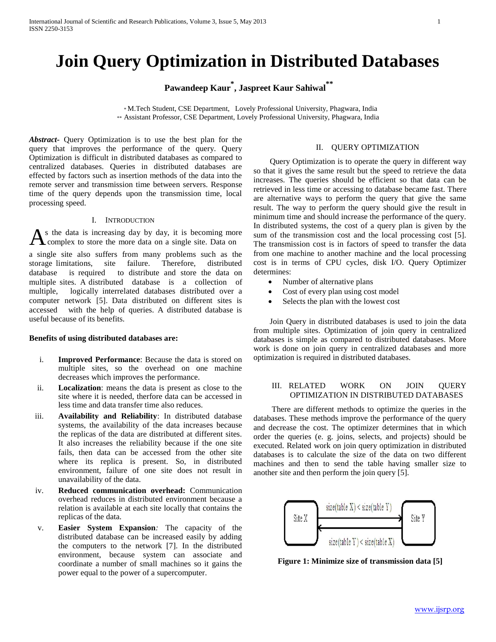# **Join Query Optimization in Distributed Databases**

**Pawandeep Kaur\* , Jaspreet Kaur Sahiwal\*\***

\* M.Tech Student, CSE Department, Lovely Professional University, Phagwara, India \*\* Assistant Professor, CSE Department, Lovely Professional University, Phagwara, India

*Abstract***-** Query Optimization is to use the best plan for the query that improves the performance of the query. Query Optimization is difficult in distributed databases as compared to centralized databases. Queries in distributed databases are effected by factors such as insertion methods of the data into the remote server and transmission time between servers. Response time of the query depends upon the transmission time, local processing speed.

# I. INTRODUCTION

As the data is increasing day by day, it is becoming momodom complex to store the more data on a single site. Data on s the data is increasing day by day, it is becoming more

a single site also suffers from many problems such as the storage limitations, site failure. Therefore, distributed database is required to distribute and store the data on multiple sites. A distributed database is a collection of multiple, logically interrelated databases distributed over a computer network [5]. Data distributed on different sites is accessed with the help of queries. A distributed database is useful because of its benefits.

# **Benefits of using distributed databases are:**

- i. **Improved Performance**: Because the data is stored on multiple sites, so the overhead on one machine decreases which improves the performance.
- ii. **Localization**: means the data is present as close to the site where it is needed, therfore data can be accessed in less time and data transfer time also reduces.
- iii. **Availability and Reliability**: In distributed database systems, the availability of the data increases because the replicas of the data are distributed at different sites. It also increases the reliability because if the one site fails, then data can be accessed from the other site where its replica is present. So, in distributed environment, failure of one site does not result in unavailability of the data.
- iv. **Reduced communication overhead:** Communication overhead reduces in distributed environment because a relation is available at each site locally that contains the replicas of the data.
- v. **Easier System Expansion***:* The capacity of the distributed database can be increased easily by adding the computers to the network [7]. In the distributed environment, because system can associate and coordinate a number of small machines so it gains the power equal to the power of a supercomputer.

# II. QUERY OPTIMIZATION

Query Optimization is to operate the query in different way so that it gives the same result but the speed to retrieve the data increases. The queries should be efficient so that data can be retrieved in less time or accessing to database became fast. There are alternative ways to perform the query that give the same result. The way to perform the query should give the result in minimum time and should increase the performance of the query. In distributed systems, the cost of a query plan is given by the sum of the transmission cost and the local processing cost [5]. The transmission cost is in factors of speed to transfer the data from one machine to another machine and the local processing cost is in terms of CPU cycles, disk I/O. Query Optimizer determines:

- Number of alternative plans
- Cost of every plan using cost model
- Selects the plan with the lowest cost

Join Query in distributed databases is used to join the data from multiple sites. Optimization of join query in centralized databases is simple as compared to distributed databases. More work is done on join query in centralized databases and more optimization is required in distributed databases.

### III. RELATED WORK ON JOIN QUERY OPTIMIZATION IN DISTRIBUTED DATABASES

 There are different methods to optimize the queries in the databases. These methods improve the performance of the query and decrease the cost. The optimizer determines that in which order the queries (e. g. joins, selects, and projects) should be executed. Related work on join query optimization in distributed databases is to calculate the size of the data on two different machines and then to send the table having smaller size to another site and then perform the join query [5].



**Figure 1: Minimize size of transmission data [5]**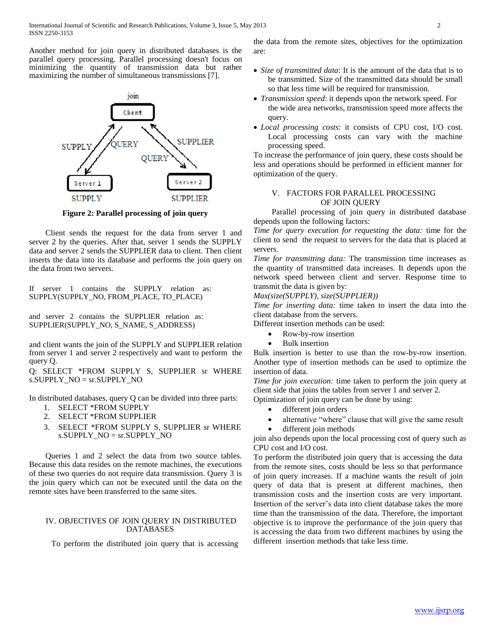Another method for join query in distributed databases is the parallel query processing. Parallel processing doesn't focus on minimizing the quantity of transmission data but rather maximizing the number of simultaneous transmissions [7].



**Figure 2: Parallel processing of join query**

Client sends the request for the data from server 1 and server 2 by the queries. After that, server 1 sends the SUPPLY data and server 2 sends the SUPPLIER data to client. Then client inserts the data into its database and performs the join query on the data from two servers.

If server 1 contains the SUPPLY relation as: SUPPLY(SUPPLY\_NO, FROM\_PLACE, TO\_PLACE)

and server 2 contains the SUPPLIER relation as: SUPPLIER(SUPPLY\_NO, S\_NAME, S\_ADDRESS)

and client wants the join of the SUPPLY and SUPPLIER relation from server 1 and server 2 respectively and want to perform the query Q.

Q: SELECT \*FROM SUPPLY S, SUPPLIER sr WHERE s.SUPPLY\_NO = sr.SUPPLY\_NO

In distributed databases, query Q can be divided into three parts:

- 1. SELECT \*FROM SUPPLY
- 2. SELECT \*FROM SUPPLIER
- 3. SELECT \*FROM SUPPLY S, SUPPLIER sr WHERE s.SUPPLY\_NO = sr.SUPPLY\_NO

Queries 1 and 2 select the data from two source tables. Because this data resides on the remote machines, the executions of these two queries do not require data transmission. Query 3 is the join query which can not be executed until the data on the remote sites have been transferred to the same sites.

# IV. OBJECTIVES OF JOIN QUERY IN DISTRIBUTED DATABASES

To perform the distributed join query that is accessing

the data from the remote sites, objectives for the optimization are:

- *Size of transmitted data*: It is the amount of the data that is to be transmitted. Size of the transmitted data should be small so that less time will be required for transmission.
- *Transmission speed*: it depends upon the network speed. For the wide area networks, transmission speed more affects the query.
- *Local processing costs*: it consists of CPU cost, I/O cost. Local processing costs can vary with the machine processing speed.

To increase the performance of join query, these costs should be less and operations should be performed in efficient manner for optimization of the query.

# V. FACTORS FOR PARALLEL PROCESSING OF JOIN QUERY

 Parallel processing of join query in distributed database depends upon the following factors:

*Time for query execution for requesting the data:* time for the client to send the request to servers for the data that is placed at servers.

*Time for transmitting data:* The transmission time increases as the quantity of transmitted data increases. It depends upon the network speed between client and server. Response time to transmit the data is given by:

*Max(size(SUPPLY), size(SUPPLIER))*

*Time for inserting data:* time taken to insert the data into the client database from the servers.

Different insertion methods can be used:

- Row-by-row insertion
- Bulk insertion

Bulk insertion is better to use than the row-by-row insertion. Another type of insertion methods can be used to optimize the insertion of data.

*Time for join execution:* time taken to perform the join query at client side that joins the tables from server 1 and server 2.

Optimization of join query can be done by using:

- different join orders
- alternative "where" clause that will give the same result
- different join methods

join also depends upon the local processing cost of query such as CPU cost and I/O cost.

To perform the distributed join query that is accessing the data from the remote sites, costs should be less so that performance of join query increases. If a machine wants the result of join query of data that is present at different machines, then transmission costs and the insertion costs are very important. Insertion of the server's data into client database takes the more time than the transmission of the data. Therefore, the important objective is to improve the performance of the join query that is accessing the data from two different machines by using the different insertion methods that take less time.